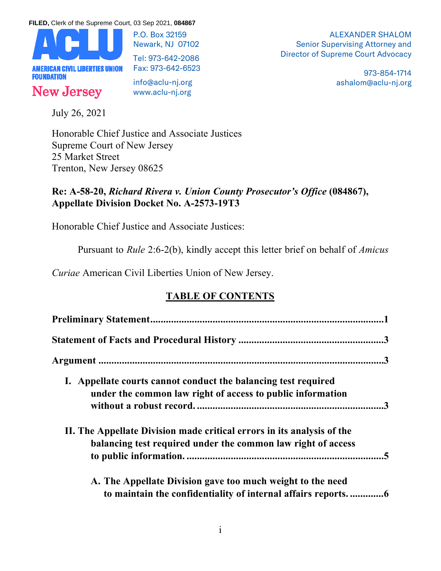**FILED,** Clerk of the Supreme Court, 03 Sep 2021, **084867**



P.O. Box 32159 Newark, NJ 07102

Tel: 973-642-2086 Fax: 973-642-6523

info@aclu-nj.org www.aclu-nj.org

ALEXANDER SHALOM Senior Supervising Attorney and Director of Supreme Court Advocacy

> 973-854-1714 ashalom@aclu-nj.org

July 26, 2021

Honorable Chief Justice and Associate Justices Supreme Court of New Jersey 25 Market Street Trenton, New Jersey 08625

## **Re: A-58-20,** *Richard Rivera v. Union County Prosecutor's Office* **(084867), Appellate Division Docket No. A-2573-19T3**

Honorable Chief Justice and Associate Justices:

Pursuant to *Rule* 2:6-2(b), kindly accept this letter brief on behalf of *Amicus* 

*Curiae* American Civil Liberties Union of New Jersey.

# **TABLE OF CONTENTS**

| I. Appellate courts cannot conduct the balancing test required         |
|------------------------------------------------------------------------|
| under the common law right of access to public information             |
|                                                                        |
| II. The Appellate Division made critical errors in its analysis of the |
| balancing test required under the common law right of access           |
|                                                                        |
| A. The Appellate Division gave too much weight to the need             |
|                                                                        |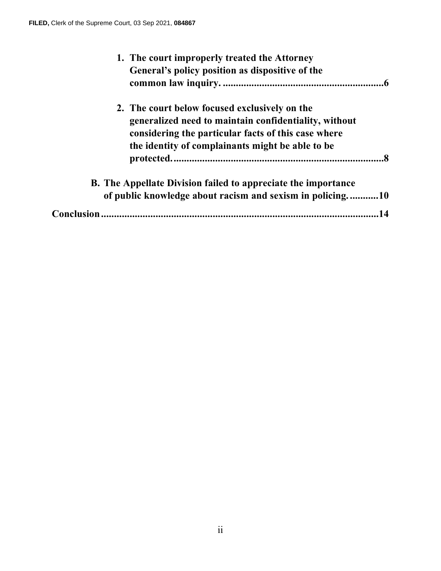| 1. The court improperly treated the Attorney<br>General's policy position as dispositive of the        |
|--------------------------------------------------------------------------------------------------------|
| 2. The court below focused exclusively on the<br>generalized need to maintain confidentiality, without |
| considering the particular facts of this case where                                                    |
| the identity of complainants might be able to be<br>. 8                                                |
| <b>B.</b> The Appellate Division failed to appreciate the importance                                   |
| of public knowledge about racism and sexism in policing10                                              |
|                                                                                                        |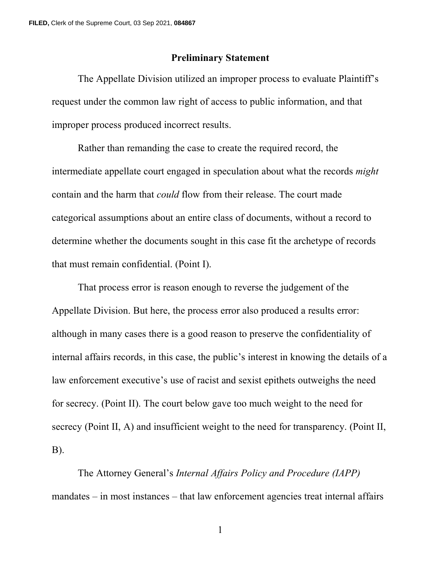#### **Preliminary Statement**

The Appellate Division utilized an improper process to evaluate Plaintiff's request under the common law right of access to public information, and that improper process produced incorrect results.

Rather than remanding the case to create the required record, the intermediate appellate court engaged in speculation about what the records *might* contain and the harm that *could* flow from their release. The court made categorical assumptions about an entire class of documents, without a record to determine whether the documents sought in this case fit the archetype of records that must remain confidential. (Point I).

That process error is reason enough to reverse the judgement of the Appellate Division. But here, the process error also produced a results error: although in many cases there is a good reason to preserve the confidentiality of internal affairs records, in this case, the public's interest in knowing the details of a law enforcement executive's use of racist and sexist epithets outweighs the need for secrecy. (Point II). The court below gave too much weight to the need for secrecy (Point II, A) and insufficient weight to the need for transparency. (Point II, B).

The Attorney General's *Internal Affairs Policy and Procedure (IAPP)* mandates – in most instances – that law enforcement agencies treat internal affairs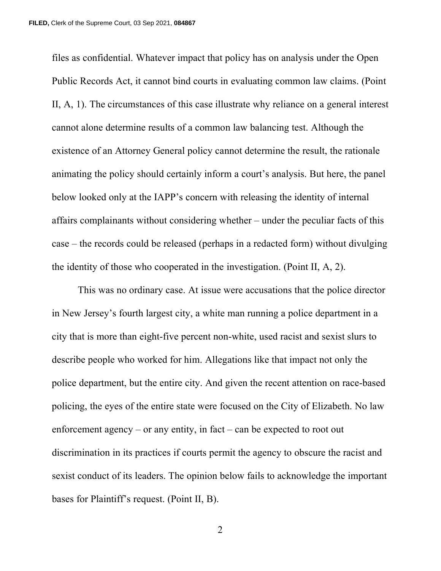files as confidential. Whatever impact that policy has on analysis under the Open Public Records Act, it cannot bind courts in evaluating common law claims. (Point II, A, 1). The circumstances of this case illustrate why reliance on a general interest cannot alone determine results of a common law balancing test. Although the existence of an Attorney General policy cannot determine the result, the rationale animating the policy should certainly inform a court's analysis. But here, the panel below looked only at the IAPP's concern with releasing the identity of internal affairs complainants without considering whether – under the peculiar facts of this case – the records could be released (perhaps in a redacted form) without divulging the identity of those who cooperated in the investigation. (Point II, A, 2).

This was no ordinary case. At issue were accusations that the police director in New Jersey's fourth largest city, a white man running a police department in a city that is more than eight-five percent non-white, used racist and sexist slurs to describe people who worked for him. Allegations like that impact not only the police department, but the entire city. And given the recent attention on race-based policing, the eyes of the entire state were focused on the City of Elizabeth. No law enforcement agency – or any entity, in fact – can be expected to root out discrimination in its practices if courts permit the agency to obscure the racist and sexist conduct of its leaders. The opinion below fails to acknowledge the important bases for Plaintiff's request. (Point II, B).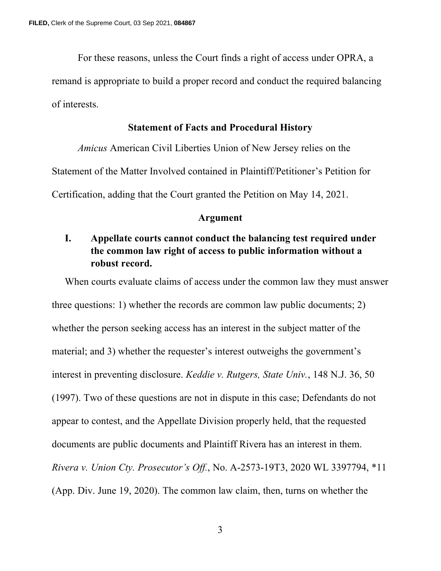For these reasons, unless the Court finds a right of access under OPRA, a remand is appropriate to build a proper record and conduct the required balancing of interests.

#### **Statement of Facts and Procedural History**

*Amicus* American Civil Liberties Union of New Jersey relies on the Statement of the Matter Involved contained in Plaintiff/Petitioner's Petition for Certification, adding that the Court granted the Petition on May 14, 2021.

#### **Argument**

## **I. Appellate courts cannot conduct the balancing test required under the common law right of access to public information without a robust record.**

When courts evaluate claims of access under the common law they must answer three questions: 1) whether the records are common law public documents; 2) whether the person seeking access has an interest in the subject matter of the material; and 3) whether the requester's interest outweighs the government's interest in preventing disclosure. *Keddie v. Rutgers, State Univ.*, 148 N.J. 36, 50 (1997). Two of these questions are not in dispute in this case; Defendants do not appear to contest, and the Appellate Division properly held, that the requested documents are public documents and Plaintiff Rivera has an interest in them. *Rivera v. Union Cty. Prosecutor's Off.*, No. A-2573-19T3, 2020 WL 3397794, \*11 (App. Div. June 19, 2020). The common law claim, then, turns on whether the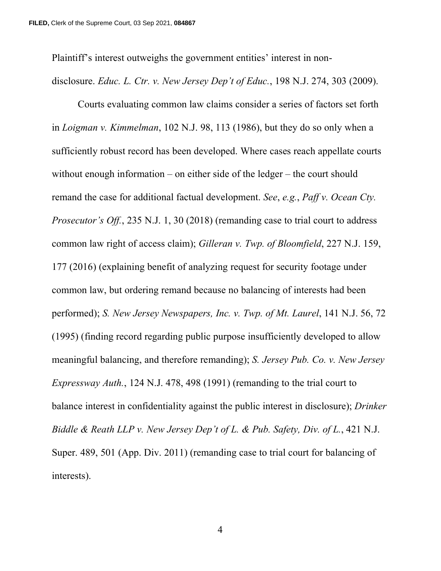Plaintiff's interest outweighs the government entities' interest in non-

disclosure. *Educ. L. Ctr. v. New Jersey Dep't of Educ.*, 198 N.J. 274, 303 (2009).

Courts evaluating common law claims consider a series of factors set forth in *Loigman v. Kimmelman*, 102 N.J. 98, 113 (1986), but they do so only when a sufficiently robust record has been developed. Where cases reach appellate courts without enough information – on either side of the ledger – the court should remand the case for additional factual development. *See*, *e.g.*, *Paff v. Ocean Cty. Prosecutor's Off.*, 235 N.J. 1, 30 (2018) (remanding case to trial court to address common law right of access claim); *Gilleran v. Twp. of Bloomfield*, 227 N.J. 159, 177 (2016) (explaining benefit of analyzing request for security footage under common law, but ordering remand because no balancing of interests had been performed); *S. New Jersey Newspapers, Inc. v. Twp. of Mt. Laurel*, 141 N.J. 56, 72 (1995) (finding record regarding public purpose insufficiently developed to allow meaningful balancing, and therefore remanding); *S. Jersey Pub. Co. v. New Jersey Expressway Auth.*, 124 N.J. 478, 498 (1991) (remanding to the trial court to balance interest in confidentiality against the public interest in disclosure); *Drinker Biddle & Reath LLP v. New Jersey Dep't of L. & Pub. Safety, Div. of L.*, 421 N.J. Super. 489, 501 (App. Div. 2011) (remanding case to trial court for balancing of interests).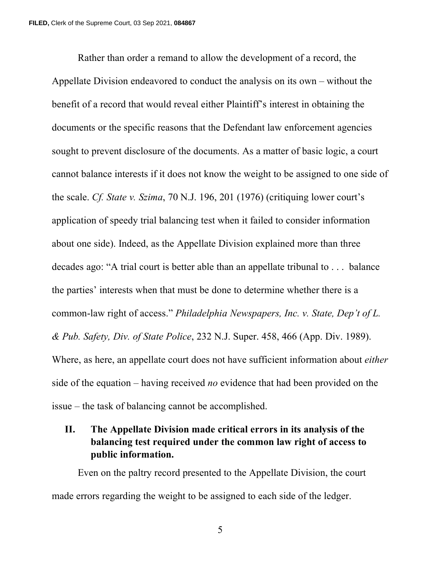Rather than order a remand to allow the development of a record, the Appellate Division endeavored to conduct the analysis on its own – without the benefit of a record that would reveal either Plaintiff's interest in obtaining the documents or the specific reasons that the Defendant law enforcement agencies sought to prevent disclosure of the documents. As a matter of basic logic, a court cannot balance interests if it does not know the weight to be assigned to one side of the scale. *Cf. State v. Szima*, 70 N.J. 196, 201 (1976) (critiquing lower court's application of speedy trial balancing test when it failed to consider information about one side). Indeed, as the Appellate Division explained more than three decades ago: "A trial court is better able than an appellate tribunal to . . . balance the parties' interests when that must be done to determine whether there is a common-law right of access." *Philadelphia Newspapers, Inc. v. State, Dep't of L. & Pub. Safety, Div. of State Police*, 232 N.J. Super. 458, 466 (App. Div. 1989). Where, as here, an appellate court does not have sufficient information about *either* side of the equation – having received *no* evidence that had been provided on the issue – the task of balancing cannot be accomplished.

## **II. The Appellate Division made critical errors in its analysis of the balancing test required under the common law right of access to public information.**

Even on the paltry record presented to the Appellate Division, the court made errors regarding the weight to be assigned to each side of the ledger.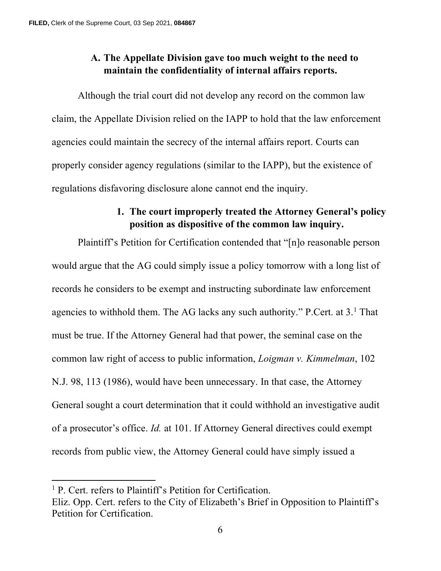# **A. The Appellate Division gave too much weight to the need to maintain the confidentiality of internal affairs reports.**

Although the trial court did not develop any record on the common law claim, the Appellate Division relied on the IAPP to hold that the law enforcement agencies could maintain the secrecy of the internal affairs report. Courts can properly consider agency regulations (similar to the IAPP), but the existence of regulations disfavoring disclosure alone cannot end the inquiry.

## **1. The court improperly treated the Attorney General's policy position as dispositive of the common law inquiry.**

Plaintiff's Petition for Certification contended that "[n]o reasonable person would argue that the AG could simply issue a policy tomorrow with a long list of records he considers to be exempt and instructing subordinate law enforcement agencies to withhold them. The AG lacks any such authority." P.Cert. at  $3.1$  $3.1$  That must be true. If the Attorney General had that power, the seminal case on the common law right of access to public information, *Loigman v. Kimmelman*, 102 N.J. 98, 113 (1986), would have been unnecessary. In that case, the Attorney General sought a court determination that it could withhold an investigative audit of a prosecutor's office. *Id.* at 101. If Attorney General directives could exempt records from public view, the Attorney General could have simply issued a

<span id="page-7-0"></span><sup>&</sup>lt;sup>1</sup> P. Cert. refers to Plaintiff's Petition for Certification.

Eliz. Opp. Cert. refers to the City of Elizabeth's Brief in Opposition to Plaintiff's Petition for Certification.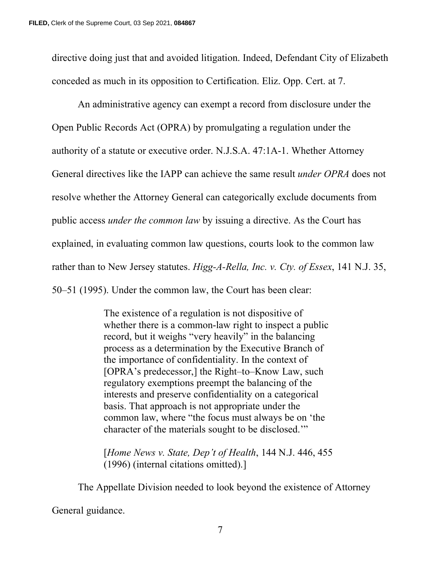directive doing just that and avoided litigation. Indeed, Defendant City of Elizabeth conceded as much in its opposition to Certification. Eliz. Opp. Cert. at 7.

An administrative agency can exempt a record from disclosure under the Open Public Records Act (OPRA) by promulgating a regulation under the authority of a statute or executive order. N.J.S.A. 47:1A-1. Whether Attorney General directives like the IAPP can achieve the same result *under OPRA* does not resolve whether the Attorney General can categorically exclude documents from public access *under the common law* by issuing a directive. As the Court has explained, in evaluating common law questions, courts look to the common law rather than to New Jersey statutes. *Higg-A-Rella, Inc. v. Cty. of Essex*, 141 N.J. 35, 50–51 (1995). Under the common law, the Court has been clear:

> The existence of a regulation is not dispositive of whether there is a common-law right to inspect a public record, but it weighs "very heavily" in the balancing process as a determination by the Executive Branch of the importance of confidentiality. In the context of [OPRA's predecessor,] the Right–to–Know Law, such regulatory exemptions preempt the balancing of the interests and preserve confidentiality on a categorical basis. That approach is not appropriate under the common law, where "the focus must always be on 'the character of the materials sought to be disclosed.'"

[*Home News v. State, Dep't of Health*, 144 N.J. 446, 455 (1996) (internal citations omitted).]

The Appellate Division needed to look beyond the existence of Attorney

General guidance.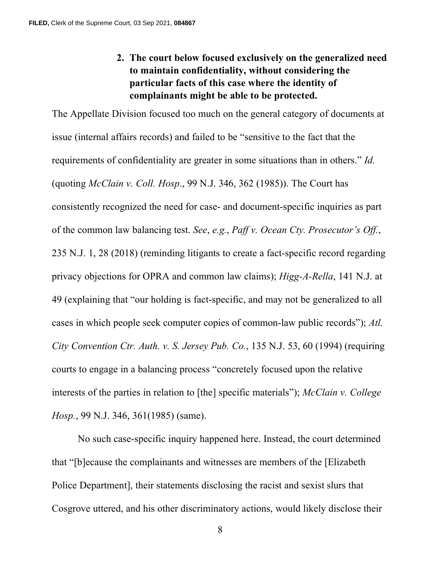**2. The court below focused exclusively on the generalized need to maintain confidentiality, without considering the particular facts of this case where the identity of complainants might be able to be protected.**

The Appellate Division focused too much on the general category of documents at issue (internal affairs records) and failed to be "sensitive to the fact that the requirements of confidentiality are greater in some situations than in others." *Id.*  (quoting *McClain v. Coll. Hosp*., 99 N.J. 346, 362 (1985)). The Court has consistently recognized the need for case- and document-specific inquiries as part of the common law balancing test. *See*, *e.g.*, *Paff v. Ocean Cty. Prosecutor's Off.*, 235 N.J. 1, 28 (2018) (reminding litigants to create a fact-specific record regarding privacy objections for OPRA and common law claims); *Higg-A-Rella*, 141 N.J. at 49 (explaining that "our holding is fact-specific, and may not be generalized to all cases in which people seek computer copies of common-law public records"); *Atl. City Convention Ctr. Auth. v. S. Jersey Pub. Co.*, 135 N.J. 53, 60 (1994) (requiring courts to engage in a balancing process "concretely focused upon the relative interests of the parties in relation to [the] specific materials"); *McClain v. College Hosp.*, 99 N.J. 346, 361(1985) (same).

No such case-specific inquiry happened here. Instead, the court determined that "[b]ecause the complainants and witnesses are members of the [Elizabeth Police Department], their statements disclosing the racist and sexist slurs that Cosgrove uttered, and his other discriminatory actions, would likely disclose their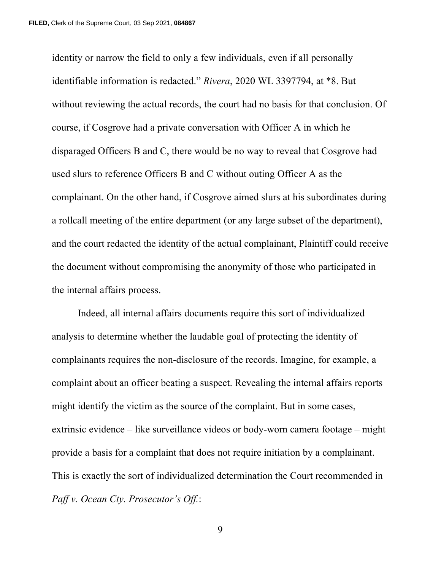identity or narrow the field to only a few individuals, even if all personally identifiable information is redacted." *Rivera*, 2020 WL 3397794, at \*8. But without reviewing the actual records, the court had no basis for that conclusion. Of course, if Cosgrove had a private conversation with Officer A in which he disparaged Officers B and C, there would be no way to reveal that Cosgrove had used slurs to reference Officers B and C without outing Officer A as the complainant. On the other hand, if Cosgrove aimed slurs at his subordinates during a rollcall meeting of the entire department (or any large subset of the department), and the court redacted the identity of the actual complainant, Plaintiff could receive the document without compromising the anonymity of those who participated in the internal affairs process.

Indeed, all internal affairs documents require this sort of individualized analysis to determine whether the laudable goal of protecting the identity of complainants requires the non-disclosure of the records. Imagine, for example, a complaint about an officer beating a suspect. Revealing the internal affairs reports might identify the victim as the source of the complaint. But in some cases, extrinsic evidence – like surveillance videos or body-worn camera footage – might provide a basis for a complaint that does not require initiation by a complainant. This is exactly the sort of individualized determination the Court recommended in *Paff v. Ocean Cty. Prosecutor's Off.*: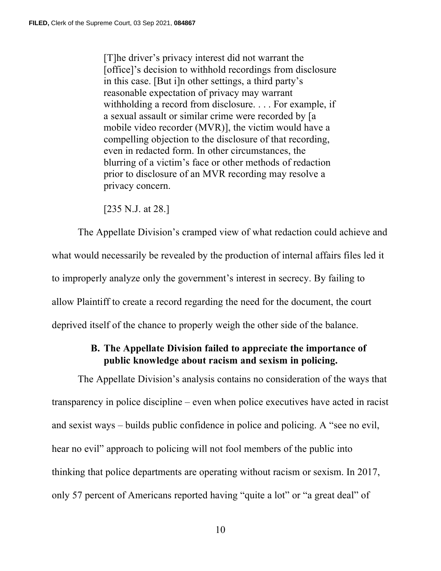[T]he driver's privacy interest did not warrant the [office]'s decision to withhold recordings from disclosure in this case. [But i]n other settings, a third party's reasonable expectation of privacy may warrant withholding a record from disclosure. . . . For example, if a sexual assault or similar crime were recorded by [a mobile video recorder (MVR)], the victim would have a compelling objection to the disclosure of that recording, even in redacted form. In other circumstances, the blurring of a victim's face or other methods of redaction prior to disclosure of an MVR recording may resolve a privacy concern.

[235 N.J. at 28.]

The Appellate Division's cramped view of what redaction could achieve and what would necessarily be revealed by the production of internal affairs files led it to improperly analyze only the government's interest in secrecy. By failing to allow Plaintiff to create a record regarding the need for the document, the court deprived itself of the chance to properly weigh the other side of the balance.

### **B. The Appellate Division failed to appreciate the importance of public knowledge about racism and sexism in policing.**

The Appellate Division's analysis contains no consideration of the ways that transparency in police discipline – even when police executives have acted in racist and sexist ways – builds public confidence in police and policing. A "see no evil, hear no evil" approach to policing will not fool members of the public into thinking that police departments are operating without racism or sexism. In 2017, only 57 percent of Americans reported having "quite a lot" or "a great deal" of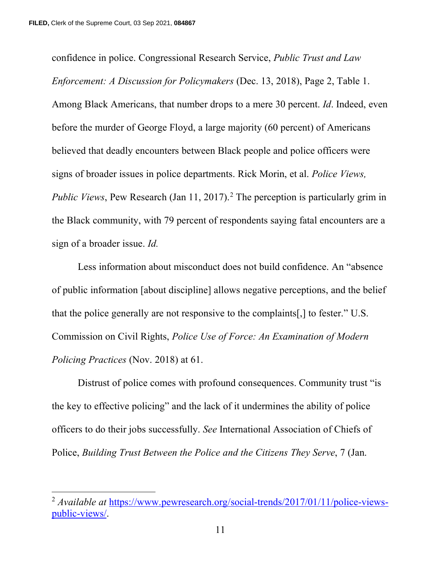confidence in police. Congressional Research Service, *Public Trust and Law Enforcement: A Discussion for Policymakers* (Dec. 13, 2018), Page 2, Table 1. Among Black Americans, that number drops to a mere 30 percent. *Id*. Indeed, even before the murder of George Floyd, a large majority (60 percent) of Americans believed that deadly encounters between Black people and police officers were signs of broader issues in police departments. Rick Morin, et al. *Police Views, Public Views*, Pew Research (Jan 11, 2017). [2](#page-12-0) The perception is particularly grim in the Black community, with 79 percent of respondents saying fatal encounters are a sign of a broader issue. *Id.* 

Less information about misconduct does not build confidence. An "absence of public information [about discipline] allows negative perceptions, and the belief that the police generally are not responsive to the complaints[,] to fester." U.S. Commission on Civil Rights, *Police Use of Force: An Examination of Modern Policing Practices* (Nov. 2018) at 61.

Distrust of police comes with profound consequences. Community trust "is the key to effective policing" and the lack of it undermines the ability of police officers to do their jobs successfully. *See* International Association of Chiefs of Police, *Building Trust Between the Police and the Citizens They Serve*, 7 (Jan.

<span id="page-12-0"></span><sup>&</sup>lt;sup>2</sup> *Available at* [https://www.pewresearch.org/social-trends/2017/01/11/police-views](https://www.pewresearch.org/social-trends/2017/01/11/police-views-public-views/)[public-views/.](https://www.pewresearch.org/social-trends/2017/01/11/police-views-public-views/)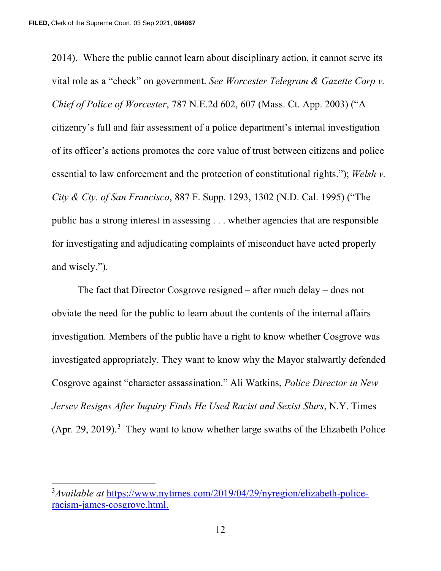2014). Where the public cannot learn about disciplinary action, it cannot serve its vital role as a "check" on government. *See Worcester Telegram & Gazette Corp v. Chief of Police of Worcester*, 787 N.E.2d 602, 607 (Mass. Ct. App. 2003) ("A citizenry's full and fair assessment of a police department's internal investigation of its officer's actions promotes the core value of trust between citizens and police essential to law enforcement and the protection of constitutional rights."); *Welsh v. City & Cty. of San Francisco*, 887 F. Supp. 1293, 1302 (N.D. Cal. 1995) ("The public has a strong interest in assessing . . . whether agencies that are responsible for investigating and adjudicating complaints of misconduct have acted properly and wisely.").

The fact that Director Cosgrove resigned – after much delay – does not obviate the need for the public to learn about the contents of the internal affairs investigation. Members of the public have a right to know whether Cosgrove was investigated appropriately. They want to know why the Mayor stalwartly defended Cosgrove against "character assassination." Ali Watkins, *Police Director in New Jersey Resigns After Inquiry Finds He Used Racist and Sexist Slurs*, N.Y. Times  $(Apr. 29, 2019).$ <sup>[3](#page-13-0)</sup> They want to know whether large swaths of the Elizabeth Police

<span id="page-13-0"></span><sup>3</sup> *Available at* [https://www.nytimes.com/2019/04/29/nyregion/elizabeth-police](https://www.nytimes.com/2019/04/29/nyregion/elizabeth-police-racism-james-cosgrove.html)[racism-james-cosgrove.html.](https://www.nytimes.com/2019/04/29/nyregion/elizabeth-police-racism-james-cosgrove.html)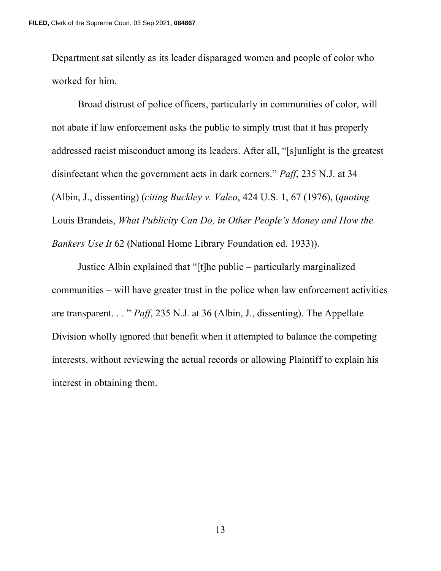Department sat silently as its leader disparaged women and people of color who worked for him.

Broad distrust of police officers, particularly in communities of color, will not abate if law enforcement asks the public to simply trust that it has properly addressed racist misconduct among its leaders. After all, "[s]unlight is the greatest disinfectant when the government acts in dark corners." *Paff*, 235 N.J. at 34 (Albin, J., dissenting) (*citing Buckley v. Valeo*, 424 U.S. 1, 67 (1976), (*quoting* Louis Brandeis, *What Publicity Can Do, in Other People's Money and How the Bankers Use It* 62 (National Home Library Foundation ed. 1933)).

Justice Albin explained that "[t]he public – particularly marginalized communities – will have greater trust in the police when law enforcement activities are transparent. . . " *Paff*, 235 N.J. at 36 (Albin, J., dissenting). The Appellate Division wholly ignored that benefit when it attempted to balance the competing interests, without reviewing the actual records or allowing Plaintiff to explain his interest in obtaining them.